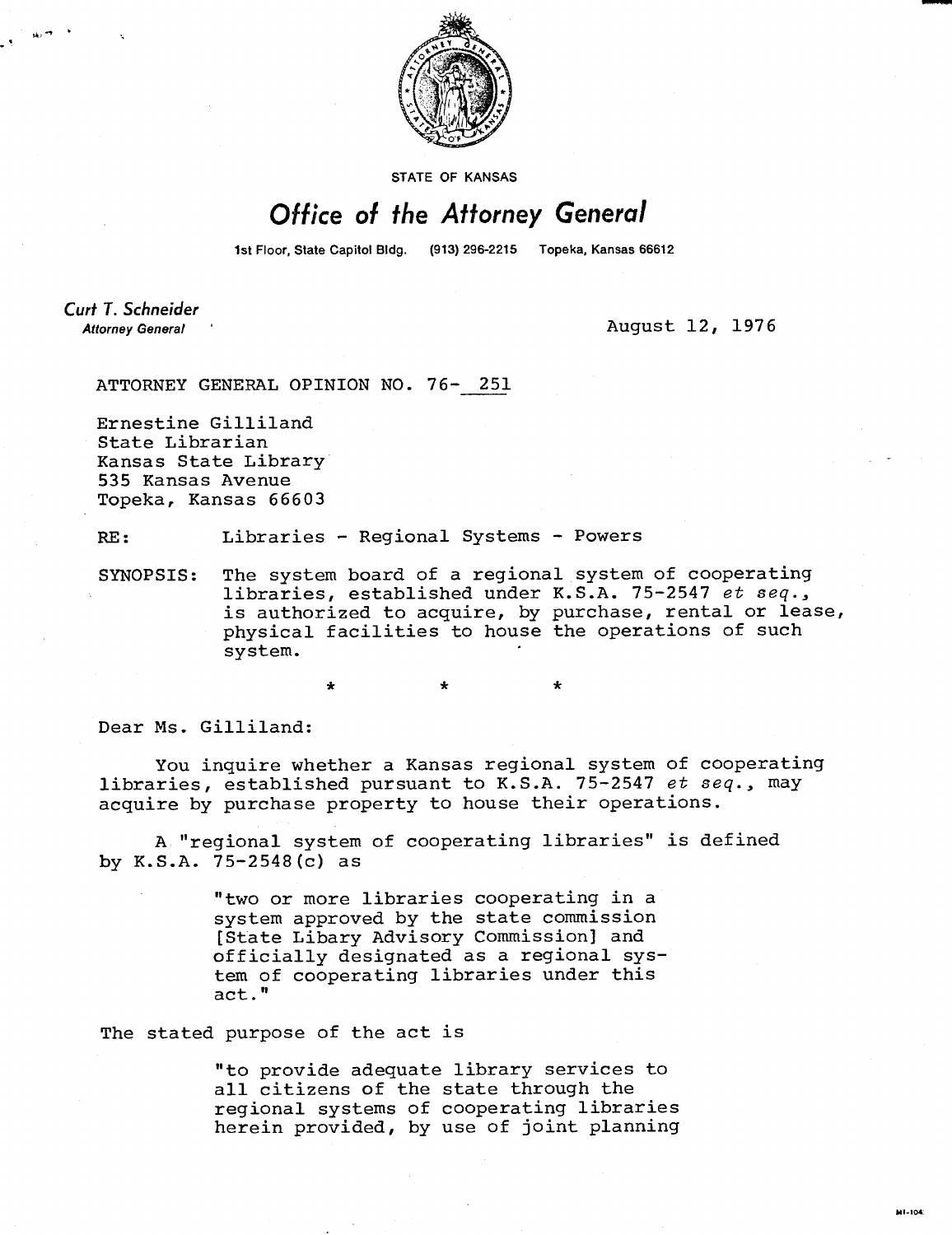

**STATE OF KANSAS** 

## Office of the Attorney General

1st Floor, State Capitol Bldg. (913) 296-2215 Topeka, Kansas 66612

Curt T. Schneider **Attorney General** 

August 12, 1976

ATTORNEY GENERAL OPINION NO. 76- 251

Ernestine Gilliland State Librarian Kansas State Library 535 Kansas Avenue Topeka, Kansas 66603

RE: Libraries - Regional Systems - Powers

\*

SYNOPSIS: The system board of a regional system of cooperating libraries, established under K.S.A. 75-2547 et seq., is authorized to acquire, by purchase, rental or lease, physical facilities to house the operations of such system.

Dear Ms. Gilliland:

You inquire whether a Kansas regional system of cooperating libraries, established pursuant to K.S.A. 75-2547 et seq., may acquire by purchase property to house their operations.

A "regional system of cooperating libraries" is defined by K.S.A. 75-2548(c) as

> "two or more libraries cooperating in a system approved by the state commission [State Libary Advisory Commission] and officially designated as a regional system of cooperating libraries under this act."

The stated purpose of the act is

"to provide adequate library services to all citizens of the state through the regional systems of cooperating libraries herein provided, by use of joint planning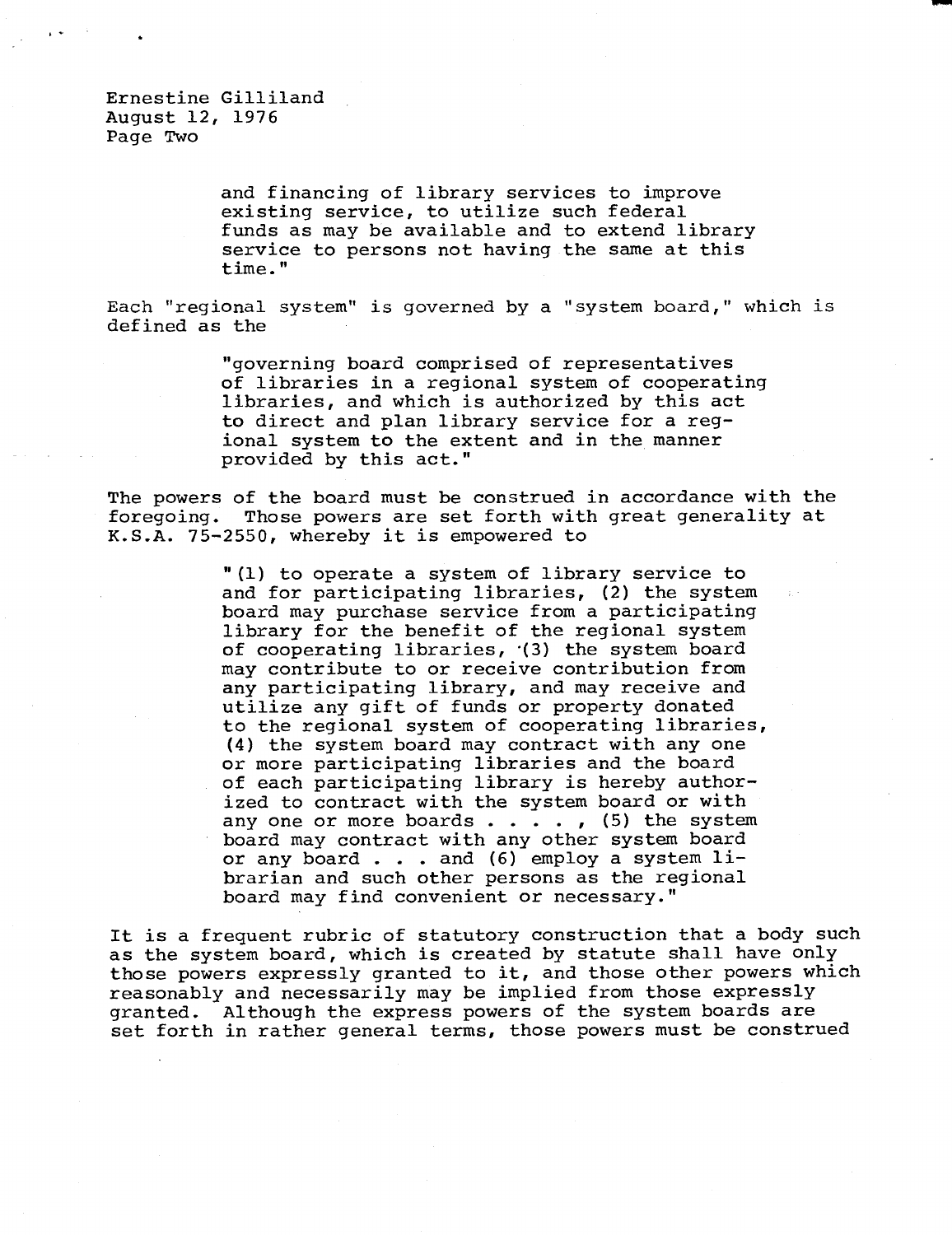Ernestine Gilliland August 12, 1976 Page Two

> and financing of library services to improve existing service, to utilize such federal funds as may be available and to extend library service to persons not having the same at this time."

Each "regional system" is governed by a "system board," which is defined as the

> "governing board comprised of representatives of libraries in a regional system of cooperating libraries, and which is authorized by this act to direct and plan library service for a regional system to the extent and in the manner provided by this act."

The powers of the board must be construed in accordance with the foregoing. Those powers are set forth with great generality at K.S.A. 75-2550, whereby it is empowered to

> "(1) to operate a system of library service to and for participating libraries, (2) the system board may purchase service from a participating library for the benefit of the regional system of cooperating libraries, •(3) the system board may contribute to or receive contribution from any participating library, and may receive and utilize any gift of funds or property donated to the regional system of cooperating libraries, (4) the system board may contract with any one or more participating libraries and the board of each participating library is hereby authorized to contract with the system board or with any one or more boards  $\ldots$ , (5) the system board may contract with any other system board or any board . . . and (6) employ a system librarian and such other persons as the regional board may find convenient or necessary."

It is a frequent rubric of statutory construction that a body such as the system board, which is created by statute shall have only those powers expressly granted to it, and those other powers which reasonably and necessarily may be implied from those expressly granted. Although the express powers of the system boards are set forth in rather general terms, those powers must be construed